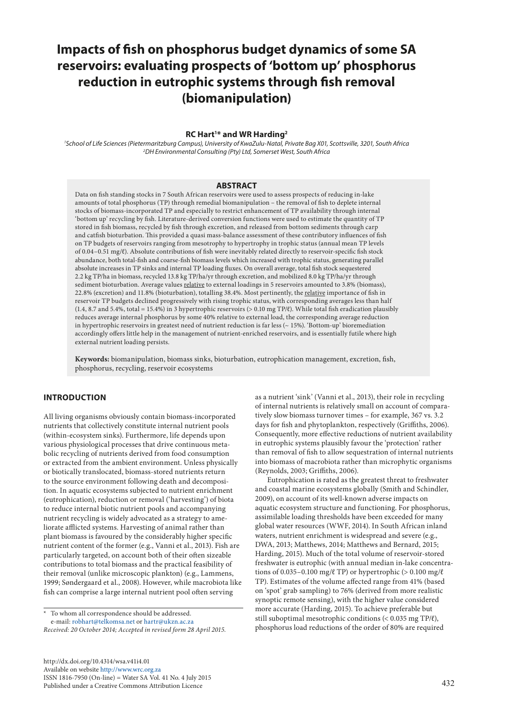# **Impacts of fish on phosphorus budget dynamics of some SA reservoirs: evaluating prospects of 'bottom up' phosphorus reduction in eutrophic systems through fish removal (biomanipulation)**

#### **RC Hart1 \* and WR Harding2**

*1 School of Life Sciences (Pietermaritzburg Campus), University of KwaZulu-Natal, Private Bag X01, Scottsville, 3201, South Africa 2 DH Environmental Consulting (Pty) Ltd, Somerset West, South Africa*

### **ABSTRACT**

Data on fish standing stocks in 7 South African reservoirs were used to assess prospects of reducing in-lake amounts of total phosphorus (TP) through remedial biomanipulation – the removal of fish to deplete internal stocks of biomass-incorporated TP and especially to restrict enhancement of TP availability through internal 'bottom up' recycling by fish. Literature-derived conversion functions were used to estimate the quantity of TP stored in fish biomass, recycled by fish through excretion, and released from bottom sediments through carp and catfish bioturbation. This provided a quasi mass-balance assessment of these contributory influences of fish on TP budgets of reservoirs ranging from mesotrophy to hypertrophy in trophic status (annual mean TP levels of 0.04–0.51 mg/ℓ). Absolute contributions of fish were inevitably related directly to reservoir-specific fish stock abundance, both total-fish and coarse-fish biomass levels which increased with trophic status, generating parallel absolute increases in TP sinks and internal TP loading fluxes. On overall average, total fish stock sequestered 2.2 kg TP/ha in biomass, recycled 13.8 kg TP/ha/yr through excretion, and mobilized 8.0 kg TP/ha/yr through sediment bioturbation. Average values relative to external loadings in 5 reservoirs amounted to 3.8% (biomass), 22.8% (excretion) and 11.8% (bioturbation), totalling 38.4%. Most pertinently, the relative importance of fish in reservoir TP budgets declined progressively with rising trophic status, with corresponding averages less than half  $(1.4, 8.7 \text{ and } 5.4\%$ , total = 15.4%) in 3 hypertrophic reservoirs  $(> 0.10 \text{ mg TP}/l)$ . While total fish eradication plausibly reduces average internal phosphorus by some 40% relative to external load, the corresponding average reduction in hypertrophic reservoirs in greatest need of nutrient reduction is far less (~ 15%). 'Bottom-up' bioremediation accordingly offers little help in the management of nutrient-enriched reservoirs, and is essentially futile where high external nutrient loading persists.

**Keywords:** biomanipulation, biomass sinks, bioturbation, eutrophication management, excretion, fish, phosphorus, recycling, reservoir ecosystems

# **INTRODUCTION**

All living organisms obviously contain biomass-incorporated nutrients that collectively constitute internal nutrient pools (within-ecosystem sinks). Furthermore, life depends upon various physiological processes that drive continuous metabolic recycling of nutrients derived from food consumption or extracted from the ambient environment. Unless physically or biotically translocated, biomass-stored nutrients return to the source environment following death and decomposition. In aquatic ecosystems subjected to nutrient enrichment (eutrophication), reduction or removal ('harvesting') of biota to reduce internal biotic nutrient pools and accompanying nutrient recycling is widely advocated as a strategy to ameliorate afflicted systems. Harvesting of animal rather than plant biomass is favoured by the considerably higher specific nutrient content of the former (e.g., Vanni et al., 2013). Fish are particularly targeted, on account both of their often sizeable contributions to total biomass and the practical feasibility of their removal (unlike microscopic plankton) (e.g., Lammens, 1999; Søndergaard et al., 2008). However, while macrobiota like fish can comprise a large internal nutrient pool often serving

To whom all correspondence should be addressed. e-mail: robhart@telkomsa.net or hartr@ukzn.ac.za

*Received: 20 October 2014; Accepted in revised form 28 April 2015.*

as a nutrient 'sink' (Vanni et al., 2013), their role in recycling of internal nutrients is relatively small on account of comparatively slow biomass turnover times – for example, 367 vs. 3.2 days for fish and phytoplankton, respectively (Griffiths, 2006). Consequently, more effective reductions of nutrient availability in eutrophic systems plausibly favour the 'protection' rather than removal of fish to allow sequestration of internal nutrients into biomass of macrobiota rather than microphytic organisms (Reynolds, 2003; Griffiths, 2006).

Eutrophication is rated as the greatest threat to freshwater and coastal marine ecosystems globally (Smith and Schindler, 2009), on account of its well-known adverse impacts on aquatic ecosystem structure and functioning. For phosphorus, assimilable loading thresholds have been exceeded for many global water resources (WWF, 2014). In South African inland waters, nutrient enrichment is widespread and severe (e.g., DWA, 2013; Matthews, 2014; Matthews and Bernard, 2015; Harding, 2015). Much of the total volume of reservoir-stored freshwater is eutrophic (with annual median in-lake concentrations of 0.035–0.100 mg/ $\ell$  TP) or hypertrophic (> 0.100 mg/ $\ell$ TP). Estimates of the volume affected range from 41% (based on 'spot' grab sampling) to 76% (derived from more realistic synoptic remote sensing), with the higher value considered more accurate (Harding, 2015). To achieve preferable but still suboptimal mesotrophic conditions (< 0.035 mg TP/ℓ), phosphorus load reductions of the order of 80% are required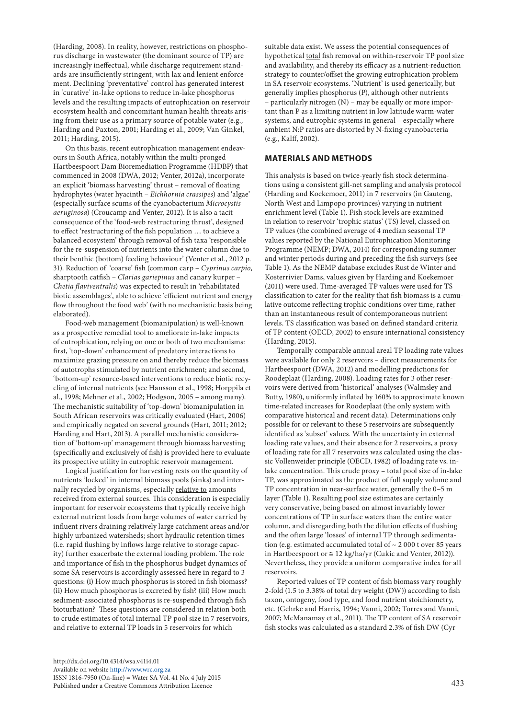(Harding, 2008). In reality, however, restrictions on phosphorus discharge in wastewater (the dominant source of TP) are increasingly ineffectual, while discharge requirement standards are insufficiently stringent, with lax and lenient enforcement. Declining 'preventative' control has generated interest in 'curative' in-lake options to reduce in-lake phosphorus levels and the resulting impacts of eutrophication on reservoir ecosystem health and concomitant human health threats arising from their use as a primary source of potable water (e.g., Harding and Paxton, 2001; Harding et al., 2009; Van Ginkel, 2011; Harding, 2015).

On this basis, recent eutrophication management endeavours in South Africa, notably within the multi-pronged Hartbeespoort Dam Bioremediation Programme (HDBP) that commenced in 2008 (DWA, 2012; Venter, 2012a), incorporate an explicit 'biomass harvesting' thrust – removal of floating hydrophytes (water hyacinth – *Eichhornia crassipes*) and 'algae' (especially surface scums of the cyanobacterium *Microcystis aeruginosa*) (Croucamp and Venter, 2012). It is also a tacit consequence of the 'food-web restructuring thrust', designed to effect 'restructuring of the fish population … to achieve a balanced ecosystem' through removal of fish taxa 'responsible for the re-suspension of nutrients into the water column due to their benthic (bottom) feeding behaviour' (Venter et al., 2012 p. 31). Reduction of 'coarse' fish (common carp – *Cyprinus carpio*, sharptooth catfish – *Clarias gariepinus* and canary kurper – *Chetia flaviventralis*) was expected to result in 'rehabilitated biotic assemblages', able to achieve 'efficient nutrient and energy flow throughout the food web' (with no mechanistic basis being elaborated).

Food-web management (biomanipulation) is well-known as a prospective remedial tool to ameliorate in-lake impacts of eutrophication, relying on one or both of two mechanisms: first, 'top-down' enhancement of predatory interactions to maximize grazing pressure on and thereby reduce the biomass of autotrophs stimulated by nutrient enrichment; and second, 'bottom-up' resource-based interventions to reduce biotic recycling of internal nutrients (see Hansson et al., 1998; Horppila et al., 1998; Mehner et al., 2002; Hodgson, 2005 – among many). The mechanistic suitability of 'top-down' biomanipulation in South African reservoirs was critically evaluated (Hart, 2006) and empirically negated on several grounds (Hart, 2011; 2012; Harding and Hart, 2013). A parallel mechanistic consideration of 'bottom-up' management through biomass harvesting (specifically and exclusively of fish) is provided here to evaluate its prospective utility in eutrophic reservoir management.

Logical justification for harvesting rests on the quantity of nutrients 'locked' in internal biomass pools (sinks) and internally recycled by organisms, especially relative to amounts received from external sources. This consideration is especially important for reservoir ecosystems that typically receive high external nutrient loads from large volumes of water carried by influent rivers draining relatively large catchment areas and/or highly urbanized watersheds; short hydraulic retention times (i.e. rapid flushing by inflows large relative to storage capacity) further exacerbate the external loading problem. The role and importance of fish in the phosphorus budget dynamics of some SA reservoirs is accordingly assessed here in regard to 3 questions: (i) How much phosphorus is stored in fish biomass? (ii) How much phosphorus is excreted by fish? (iii) How much sediment-associated phosphorus is re-suspended through fish bioturbation? These questions are considered in relation both to crude estimates of total internal TP pool size in 7 reservoirs, and relative to external TP loads in 5 reservoirs for which

suitable data exist. We assess the potential consequences of hypothetical total fish removal on within-reservoir TP pool size and availability, and thereby its efficacy as a nutrient-reduction strategy to counter/offset the growing eutrophication problem in SA reservoir ecosystems. 'Nutrient' is used generically, but generally implies phosphorus (P), although other nutrients – particularly nitrogen (N) – may be equally or more important than P as a limiting nutrient in low latitude warm-water systems, and eutrophic systems in general – especially where ambient N:P ratios are distorted by N-fixing cyanobacteria (e.g., Kalff, 2002).

# **MATERIALS AND METHODS**

This analysis is based on twice-yearly fish stock determinations using a consistent gill-net sampling and analysis protocol (Harding and Koekemoer, 2011) in 7 reservoirs (in Gauteng, North West and Limpopo provinces) varying in nutrient enrichment level (Table 1). Fish stock levels are examined in relation to reservoir 'trophic status' (TS) level, classed on TP values (the combined average of 4 median seasonal TP values reported by the National Eutrophication Monitoring Programme (NEMP; DWA, 2014) for corresponding summer and winter periods during and preceding the fish surveys (see Table 1). As the NEMP database excludes Rust de Winter and Kosterrivier Dams, values given by Harding and Koekemoer (2011) were used. Time-averaged TP values were used for TS classification to cater for the reality that fish biomass is a cumulative outcome reflecting trophic conditions over time, rather than an instantaneous result of contemporaneous nutrient levels. TS classification was based on defined standard criteria of TP content (OECD, 2002) to ensure international consistency (Harding, 2015).

Temporally comparable annual areal TP loading rate values were available for only 2 reservoirs – direct measurements for Hartbeespoort (DWA, 2012) and modelling predictions for Roodeplaat (Harding, 2008). Loading rates for 3 other reservoirs were derived from 'historical' analyses (Walmsley and Butty, 1980), uniformly inflated by 160% to approximate known time-related increases for Roodeplaat (the only system with comparative historical and recent data). Determinations only possible for or relevant to these 5 reservoirs are subsequently identified as 'subset' values. With the uncertainty in external loading rate values, and their absence for 2 reservoirs, a proxy of loading rate for all 7 reservoirs was calculated using the classic Vollenweider principle (OECD, 1982) of loading rate vs. inlake concentration. This crude proxy – total pool size of in-lake TP, was approximated as the product of full supply volume and TP concentration in near-surface water, generally the 0–5 m layer (Table 1). Resulting pool size estimates are certainly very conservative, being based on almost invariably lower concentrations of TP in surface waters than the entire water column, and disregarding both the dilution effects of flushing and the often large 'losses' of internal TP through sedimentation (e.g. estimated accumulated total of  $\sim$  2 000 t over 85 years in Hartbeespoort or  $\approx$  12 kg/ha/yr (Cukic and Venter, 2012)). Nevertheless, they provide a uniform comparative index for all reservoirs.

Reported values of TP content of fish biomass vary roughly 2-fold (1.5 to 3.38% of total dry weight (DW)) according to fish taxon, ontogeny, food type, and food nutrient stoichiometry, etc. (Gehrke and Harris, 1994; Vanni, 2002; Torres and Vanni, 2007; McManamay et al., 2011). The TP content of SA reservoir fish stocks was calculated as a standard 2.3% of fish DW (Cyr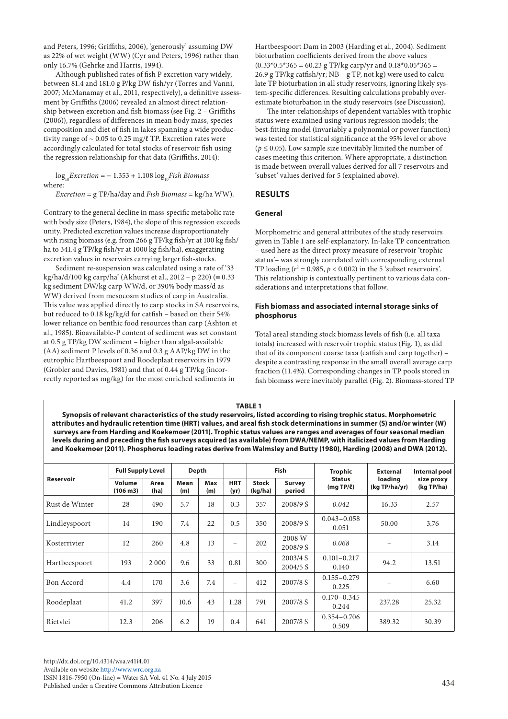and Peters, 1996; Griffiths, 2006), 'generously' assuming DW as 22% of wet weight (WW) (Cyr and Peters, 1996) rather than only 16.7% (Gehrke and Harris, 1994).

Although published rates of fish P excretion vary widely, between 81.4 and 181.0 g P/kg DW fish/yr (Torres and Vanni, 2007; McManamay et al., 2011, respectively), a definitive assessment by Griffiths (2006) revealed an almost direct relationship between excretion and fish biomass (see Fig. 2 – Griffiths (2006)), regardless of differences in mean body mass, species composition and diet of fish in lakes spanning a wide productivity range of  $\sim 0.05$  to 0.25 mg/ $\ell$  TP. Excretion rates were accordingly calculated for total stocks of reservoir fish using the regression relationship for that data (Griffiths, 2014):

 $\log_{10}Excretion = -1.353 + 1.108 \log_{10}Fish \ Biomass$ where:

*Excretion* = g TP/ha/day and *Fish Biomass* = kg/ha WW).

Contrary to the general decline in mass-specific metabolic rate with body size (Peters, 1984), the slope of this regression exceeds unity. Predicted excretion values increase disproportionately with rising biomass (e.g. from 266 g TP/kg fish/yr at 100 kg fish/ ha to 341.4 g TP/kg fish/yr at 1000 kg fish/ha), exaggerating excretion values in reservoirs carrying larger fish-stocks.

Sediment re-suspension was calculated using a rate of '33 kg/ha/d/100 kg carp/ha' (Akhurst et al., 2012 – p 220) ( $\equiv 0.33$ kg sediment DW/kg carp WW/d, or 390% body mass/d as WW) derived from mesocosm studies of carp in Australia. This value was applied directly to carp stocks in SA reservoirs, but reduced to 0.18 kg/kg/d for catfish – based on their 54% lower reliance on benthic food resources than carp (Ashton et al., 1985). Bioavailable-P content of sediment was set constant at 0.5 g TP/kg DW sediment – higher than algal-available (AA) sediment P levels of 0.36 and 0.3 g AAP/kg DW in the eutrophic Hartbeespoort and Roodeplaat reservoirs in 1979 (Grobler and Davies, 1981) and that of 0.44 g TP/kg (incorrectly reported as mg/kg) for the most enriched sediments in

Hartbeespoort Dam in 2003 (Harding et al., 2004). Sediment bioturbation coefficients derived from the above values  $(0.33*0.5*365 = 60.23$  g TP/kg carp/yr and  $0.18*0.05*365 =$ 26.9 g TP/kg catfish/yr; NB – g TP, not kg) were used to calculate TP bioturbation in all study reservoirs, ignoring likely system-specific differences. Resulting calculations probably overestimate bioturbation in the study reservoirs (see Discussion).

The inter-relationships of dependent variables with trophic status were examined using various regression models; the best-fitting model (invariably a polynomial or power function) was tested for statistical significance at the 95% level or above ( $p \leq 0.05$ ). Low sample size inevitably limited the number of cases meeting this criterion. Where appropriate, a distinction is made between overall values derived for all 7 reservoirs and 'subset' values derived for 5 (explained above).

# **RESULTS**

# **General**

Morphometric and general attributes of the study reservoirs given in Table 1 are self-explanatory. In-lake TP concentration – used here as the direct proxy measure of reservoir 'trophic status'– was strongly correlated with corresponding external TP loading  $(r^2 = 0.985, p < 0.002)$  in the 5 'subset reservoirs'. This relationship is contextually pertinent to various data considerations and interpretations that follow.

# **Fish biomass and associated internal storage sinks of phosphorus**

Total areal standing stock biomass levels of fish (i.e. all taxa totals) increased with reservoir trophic status (Fig. 1), as did that of its component coarse taxa (catfish and carp together) – despite a contrasting response in the small overall average carp fraction (11.4%). Corresponding changes in TP pools stored in fish biomass were inevitably parallel (Fig. 2). Biomass-stored TP

**TABLE 1 Synopsis of relevant characteristics of the study reservoirs, listed according to rising trophic status. Morphometric attributes and hydraulic retention time (HRT) values, and areal fish stock determinations in summer (S) and/or winter (W) surveys are from Harding and Koekemoer (2011). Trophic status values are ranges and averages of four seasonal median levels during and preceding the fish surveys acquired (as available) from DWA/NEMP, with italicized values from Harding and Koekemoer (2011). Phosphorus loading rates derive from Walmsley and Butty (1980), Harding (2008) and DWA (2012).**

| Reservoir      | <b>Full Supply Level</b> |              | Depth       |            |                    | <b>Fish</b>             |                        | <b>Trophic</b>                 | <b>External</b>          | Internal pool            |
|----------------|--------------------------|--------------|-------------|------------|--------------------|-------------------------|------------------------|--------------------------------|--------------------------|--------------------------|
|                | Volume<br>(106 m3)       | Area<br>(ha) | Mean<br>(m) | Max<br>(m) | <b>HRT</b><br>(yr) | <b>Stock</b><br>(kq/ha) | Survey<br>period       | <b>Status</b><br>$(mgTP/\ell)$ | loading<br>(kg TP/ha/yr) | size proxy<br>(kg TP/ha) |
| Rust de Winter | 28                       | 490          | 5.7         | 18         | 0.3                | 357                     | 2008/9 S               | 0.042                          | 16.33                    | 2.57                     |
| Lindleyspoort  | 14                       | 190          | 7.4         | 22         | 0.5                | 350                     | 2008/9 S               | $0.043 - 0.058$<br>0.051       | 50.00                    | 3.76                     |
| Kosterrivier   | 12                       | 260          | 4.8         | 13         | $-$                | 202                     | 2008 W<br>2008/9 S     | 0.068                          | $\overline{\phantom{0}}$ | 3.14                     |
| Hartbeespoort  | 193                      | 2 0 0 0      | 9.6         | 33         | 0.81               | 300                     | 2003/4 S<br>$2004/5$ S | $0.101 - 0.217$<br>0.140       | 94.2                     | 13.51                    |
| Bon Accord     | 4.4                      | 170          | 3.6         | 7.4        | $\equiv$           | 412                     | 2007/8 S               | $0.155 - 0.279$<br>0.225       |                          | 6.60                     |
| Roodeplaat     | 41.2                     | 397          | 10.6        | 43         | 1.28               | 791                     | 2007/8 S               | $0.170 - 0.345$<br>0.244       | 237.28                   | 25.32                    |
| Rietvlei       | 12.3                     | 206          | 6.2         | 19         | 0.4                | 641                     | 2007/8 S               | $0.354 - 0.706$<br>0.509       | 389.32                   | 30.39                    |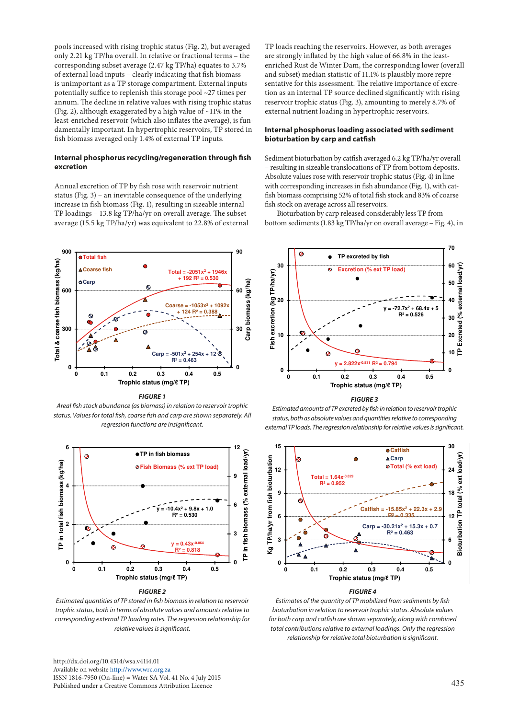pools increased with rising trophic status (Fig. 2), but averaged only 2.21 kg TP/ha overall. In relative or fractional terms – the corresponding subset average (2.47 kg TP/ha) equates to 3.7% of external load inputs – clearly indicating that fish biomass is unimportant as a TP storage compartment. External inputs potentially suffice to replenish this storage pool ~27 times per annum. The decline in relative values with rising trophic status (Fig. 2), although exaggerated by a high value of ~11% in the least-enriched reservoir (which also inflates the average), is fundamentally important. In hypertrophic reservoirs, TP stored in fish biomass averaged only 1.4% of external TP inputs.

#### **Internal phosphorus recycling/regeneration through fish excretion**

Annual excretion of TP by fish rose with reservoir nutrient status (Fig. 3) – an inevitable consequence of the underlying increase in fish biomass (Fig. 1), resulting in sizeable internal TP loadings – 13.8 kg TP/ha/yr on overall average. The subset average (15.5 kg TP/ha/yr) was equivalent to 22.8% of external



*FIGURE 1*

*Areal fish stock abundance (as biomass) in relation to reservoir trophic status. Values for total fish, coarse fish and carp are shown separately. All*  2 *regression functions are insignificant.*



*FIGURE 2*

*Estimated quantities of TP stored in fish biomass in relation to reservoir trophic status, both in terms of absolute values and amounts relative to corresponding external TP loading rates. The regression relationship for relative values is significant.*

[http://dx.doi.org/10.4314/wsa.v41i4.0](http://dx.doi.org/10.4314/wsa.v41i4.01)1 Available on website<http://www.wrc.org.za> ISSN 1816-7950 (On-line) = Water SA Vol. 41 No. 4 July 2015 Published under a Creative Commons Attribution Licence

TP loads reaching the reservoirs. However, as both averages are strongly inflated by the high value of 66.8% in the leastenriched Rust de Winter Dam, the corresponding lower (overall and subset) median statistic of 11.1% is plausibly more representative for this assessment. The relative importance of excretion as an internal TP source declined significantly with rising reservoir trophic status (Fig. 3), amounting to merely 8.7% of external nutrient loading in hypertrophic reservoirs.

## **Internal phosphorus loading associated with sediment bioturbation by carp and catfish**

Sediment bioturbation by catfish averaged 6.2 kg TP/ha/yr overall – resulting in sizeable translocations of TP from bottom deposits. Absolute values rose with reservoir trophic status (Fig. 4) in line with corresponding increases in fish abundance (Fig. 1), with catfish biomass comprising 52% of total fish stock and 83% of coarse fish stock on average across all reservoirs.

3 bottom sediments (1.83 kg TP/ha/yr on overall average – Fig. 4), in Bioturbation by carp released considerably less TP from



*FIGURE 3*

*Estimated amounts of TP excreted by fish in relation to reservoir trophic*  4 *status, both as absolute values and quantities relative to corresponding external TP loads. The regression relationship for relative values is significant.*



*Estimates of the quantity of TP mobilized from sediments by fish bioturbation in relation to reservoir trophic status. Absolute values for both carp and catfish are shown separately, along with combined total contributions relative to external loadings. Only the regression relationship for relative total bioturbation is significant.*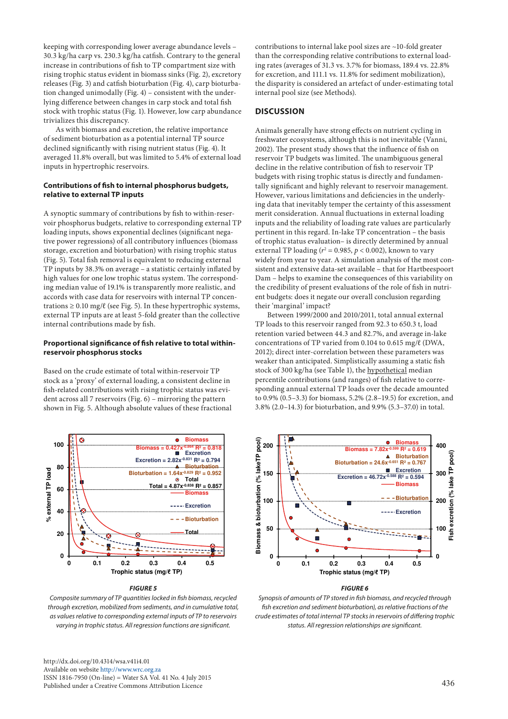keeping with corresponding lower average abundance levels – 30.3 kg/ha carp vs. 230.3 kg/ha catfish. Contrary to the general increase in contributions of fish to TP compartment size with rising trophic status evident in biomass sinks (Fig. 2), excretory releases (Fig. 3) and catfish bioturbation (Fig. 4), carp bioturbation changed unimodally (Fig. 4) – consistent with the underlying difference between changes in carp stock and total fish stock with trophic status (Fig. 1). However, low carp abundance trivializes this discrepancy.

As with biomass and excretion, the relative importance of sediment bioturbation as a potential internal TP source declined significantly with rising nutrient status (Fig. 4). It averaged 11.8% overall, but was limited to 5.4% of external load inputs in hypertrophic reservoirs.

## **Contributions of fish to internal phosphorus budgets, relative to external TP inputs**

A synoptic summary of contributions by fish to within-reservoir phosphorus budgets, relative to corresponding external TP loading inputs, shows exponential declines (significant negative power regressions) of all contributory influences (biomass storage, excretion and bioturbation) with rising trophic status (Fig. 5). Total fish removal is equivalent to reducing external TP inputs by 38.3% on average – a statistic certainly inflated by high values for one low trophic status system. The corresponding median value of 19.1% is transparently more realistic, and accords with case data for reservoirs with internal TP concentrations  $\geq 0.10$  mg/ $\ell$  (see Fig. 5). In these hypertrophic systems, external TP inputs are at least 5-fold greater than the collective internal contributions made by fish.

## **Proportional significance of fish relative to total withinreservoir phosphorus stocks**

Based on the crude estimate of total within-reservoir TP stock as a 'proxy' of external loading, a consistent decline in fish-related contributions with rising trophic status was evident across all 7 reservoirs (Fig. 6) – mirroring the pattern shown in Fig. 5. Although absolute values of these fractional



#### *FIGURE 5*

*Composite summary of TP quantities locked in fish biomass, recycled through excretion, mobilized from sediments, and in cumulative total, as values relative to corresponding external inputs of TP to reservoirs varying in trophic status. All regression functions are significant.*

[http://dx.doi.org/10.4314/wsa.v41i4.](http://dx.doi.org/10.4314/wsa.v41i4.01)01 Available on website <http://www.wrc.org.za> ISSN 1816-7950 (On-line) = Water SA Vol. 41 No. 4 July 2015 Published under a Creative Commons Attribution Licence

contributions to internal lake pool sizes are ~10-fold greater than the corresponding relative contributions to external loading rates (averages of 31.3 vs. 3.7% for biomass, 189.4 vs. 22.8% for excretion, and 111.1 vs. 11.8% for sediment mobilization), the disparity is considered an artefact of under-estimating total internal pool size (see Methods).

# **DISCUSSION**

Animals generally have strong effects on nutrient cycling in freshwater ecosystems, although this is not inevitable (Vanni, 2002). The present study shows that the influence of fish on reservoir TP budgets was limited. The unambiguous general decline in the relative contribution of fish to reservoir TP budgets with rising trophic status is directly and fundamentally significant and highly relevant to reservoir management. However, various limitations and deficiencies in the underlying data that inevitably temper the certainty of this assessment merit consideration. Annual fluctuations in external loading inputs and the reliability of loading rate values are particularly pertinent in this regard. In-lake TP concentration – the basis of trophic status evaluation– is directly determined by annual external TP loading ( $r^2 = 0.985$ ,  $p < 0.002$ ), known to vary widely from year to year. A simulation analysis of the most consistent and extensive data-set available – that for Hartbeespoort Dam – helps to examine the consequences of this variability on the credibility of present evaluations of the role of fish in nutrient budgets: does it negate our overall conclusion regarding their 'marginal' impact?

Between 1999/2000 and 2010/2011, total annual external TP loads to this reservoir ranged from 92.3 to 650.3 t, load retention varied between 44.3 and 82.7%, and average in-lake concentrations of TP varied from 0.104 to 0.615 mg/ℓ (DWA, 2012); direct inter-correlation between these parameters was weaker than anticipated. Simplistically assuming a static fish stock of 300 kg/ha (see Table 1), the hypothetical median percentile contributions (and ranges) of fish relative to corresponding annual external TP loads over the decade amounted to 0.9% (0.5–3.3) for biomass, 5.2% (2.8–19.5) for excretion, and al 3.8% (2.0–14.3) for bioturbation, and 9.9% (5.3–37.0) in total.



#### *FIGURE 6*

*Synopsis of amounts of TP stored in fish biomass, and recycled through fish excretion and sediment bioturbation), as relative fractions of the crude estimates of total internal TP stocks in reservoirs of differing trophic status. All regression relationships are significant.*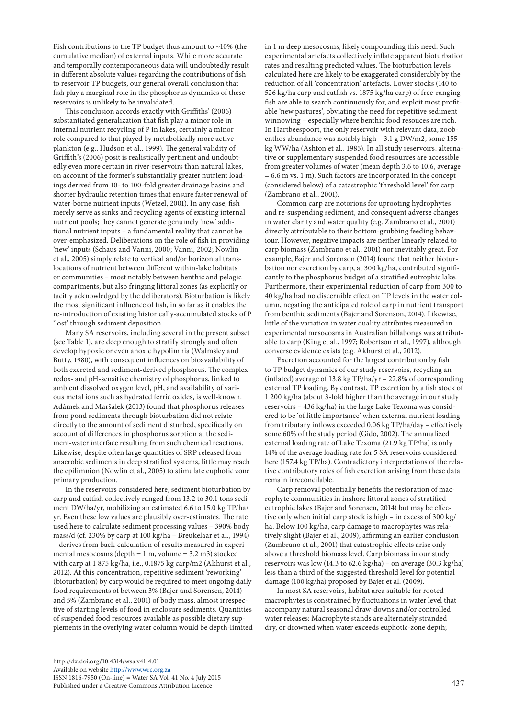Fish contributions to the TP budget thus amount to  $\sim$ 10% (the cumulative median) of external inputs. While more accurate and temporally contemporaneous data will undoubtedly result in different absolute values regarding the contributions of fish to reservoir TP budgets, our general overall conclusion that fish play a marginal role in the phosphorus dynamics of these reservoirs is unlikely to be invalidated.

This conclusion accords exactly with Griffiths' (2006) substantiated generalization that fish play a minor role in internal nutrient recycling of P in lakes, certainly a minor role compared to that played by metabolically more active plankton (e.g., Hudson et al., 1999). The general validity of Griffith's (2006) posit is realistically pertinent and undoubtedly even more certain in river-reservoirs than natural lakes, on account of the former's substantially greater nutrient loadings derived from 10- to 100-fold greater drainage basins and shorter hydraulic retention times that ensure faster renewal of water-borne nutrient inputs (Wetzel, 2001). In any case, fish merely serve as sinks and recycling agents of existing internal nutrient pools; they cannot generate genuinely 'new' additional nutrient inputs – a fundamental reality that cannot be over-emphasized. Deliberations on the role of fish in providing 'new' inputs (Schaus and Vanni, 2000; Vanni, 2002; Nowlin et al., 2005) simply relate to vertical and/or horizontal translocations of nutrient between different within-lake habitats or communities – most notably between benthic and pelagic compartments, but also fringing littoral zones (as explicitly or tacitly acknowledged by the deliberators). Bioturbation is likely the most significant influence of fish, in so far as it enables the re-introduction of existing historically-accumulated stocks of P 'lost' through sediment deposition.

Many SA reservoirs, including several in the present subset (see Table 1), are deep enough to stratify strongly and often develop hypoxic or even anoxic hypolimnia (Walmsley and Butty, 1980), with consequent influences on bioavailability of both excreted and sediment-derived phosphorus. The complex redox- and pH-sensitive chemistry of phosphorus, linked to ambient dissolved oxygen level, pH, and availability of various metal ions such as hydrated ferric oxides, is well-known. Adámek and Maršálek (2013) found that phosphorus releases from pond sediments through bioturbation did not relate directly to the amount of sediment disturbed, specifically on account of differences in phosphorus sorption at the sediment-water interface resulting from such chemical reactions. Likewise, despite often large quantities of SRP released from anaerobic sediments in deep stratified systems, little may reach the epilimnion (Nowlin et al., 2005) to stimulate euphotic zone primary production.

In the reservoirs considered here, sediment bioturbation by carp and catfish collectively ranged from 13.2 to 30.1 tons sediment DW/ha/yr, mobilizing an estimated 6.6 to 15.0 kg TP/ha/ yr. Even these low values are plausibly over-estimates. The rate used here to calculate sediment processing values – 390% body mass/d (cf. 230% by carp at 100 kg/ha – Breukelaar et al., 1994) – derives from back-calculation of results measured in experimental mesocosms (depth  $= 1$  m, volume  $= 3.2$  m3) stocked with carp at 1 875 kg/ha, i.e., 0.1875 kg carp/m2 (Akhurst et al., 2012). At this concentration, repetitive sediment 'reworking' (bioturbation) by carp would be required to meet ongoing daily food requirements of between 3% (Bajer and Sorensen, 2014) and 5% (Zambrano et al., 2001) of body mass, almost irrespective of starting levels of food in enclosure sediments. Quantities of suspended food resources available as possible dietary supplements in the overlying water column would be depth-limited in 1 m deep mesocosms, likely compounding this need. Such experimental artefacts collectively inflate apparent bioturbation rates and resulting predicted values. The bioturbation levels calculated here are likely to be exaggerated considerably by the reduction of all 'concentration' artefacts. Lower stocks (140 to 526 kg/ha carp and catfish vs. 1875 kg/ha carp) of free-ranging fish are able to search continuously for, and exploit most profitable 'new pastures', obviating the need for repetitive sediment winnowing – especially where benthic food resouces are rich. In Hartbeespoort, the only reservoir with relevant data, zoobenthos abundance was notably high – 3.1 g DW/m2, some 155 kg WW/ha (Ashton et al., 1985). In all study reservoirs, alternative or supplementary suspended food resources are accessible from greater volumes of water (mean depth 3.6 to 10.6, average = 6.6 m vs. 1 m). Such factors are incorporated in the concept (considered below) of a catastrophic 'threshold level' for carp (Zambrano et al., 2001).

Common carp are notorious for uprooting hydrophytes and re-suspending sediment, and consequent adverse changes in water clarity and water quality (e.g. Zambrano et al., 2001) directly attributable to their bottom-grubbing feeding behaviour. However, negative impacts are neither linearly related to carp biomass (Zambrano et al., 2001) nor inevitably great. For example, Bajer and Sorenson (2014) found that neither bioturbation nor excretion by carp, at 300 kg/ha, contributed significantly to the phosphorus budget of a stratified eutrophic lake. Furthermore, their experimental reduction of carp from 300 to 40 kg/ha had no discernible effect on TP levels in the water column, negating the anticipated role of carp in nutrient transport from benthic sediments (Bajer and Sorenson, 2014). Likewise, little of the variation in water quality attributes measured in experimental mesocosms in Australian billabongs was attributable to carp (King et al., 1997; Robertson et al., 1997), although converse evidence exists (e.g. Akhurst et al., 2012).

Excretion accounted for the largest contribution by fish to TP budget dynamics of our study reservoirs, recycling an (inflated) average of 13.8 kg TP/ha/yr – 22.8% of corresponding external TP loading. By contrast, TP excretion by a fish stock of 1 200 kg/ha (about 3-fold higher than the average in our study reservoirs – 436 kg/ha) in the large Lake Texoma was considered to be 'of little importance' when external nutrient loading from tributary inflows exceeded 0.06 kg TP/ha/day – effectively some 60% of the study period (Gido, 2002). The annualized external loading rate of Lake Texoma (21.9 kg TP/ha) is only 14% of the average loading rate for 5 SA reservoirs considered here (157.4 kg TP/ha). Contradictory interpretations of the relative contributory roles of fish excretion arising from these data remain irreconcilable.

Carp removal potentially benefits the restoration of macrophyte communities in inshore littoral zones of stratified eutrophic lakes (Bajer and Sorensen, 2014) but may be effective only when initial carp stock is high – in excess of 300 kg/ ha. Below 100 kg/ha, carp damage to macrophytes was relatively slight (Bajer et al., 2009), affirming an earlier conclusion (Zambrano et al., 2001) that catastrophic effects arise only above a threshold biomass level. Carp biomass in our study reservoirs was low (14.3 to 62.6 kg/ha) – on average (30.3 kg/ha) less than a third of the suggested threshold level for potential damage (100 kg/ha) proposed by Bajer et al. (2009).

In most SA reservoirs, habitat area suitable for rooted macrophytes is constrained by fluctuations in water level that accompany natural seasonal draw-downs and/or controlled water releases: Macrophyte stands are alternately stranded dry, or drowned when water exceeds euphotic-zone depth;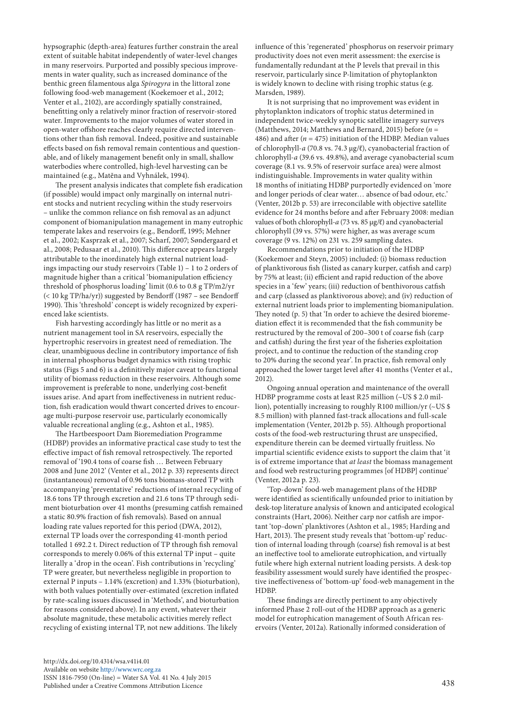hypsographic (depth-area) features further constrain the areal extent of suitable habitat independently of water-level changes in many reservoirs. Purported and possibly specious improvements in water quality, such as increased dominance of the benthic green filamentous alga *Spirogyra* in the littoral zone following food-web management (Koekemoer et al., 2012; Venter et al., 2102), are accordingly spatially constrained, benefitting only a relatively minor fraction of reservoir-stored water. Improvements to the major volumes of water stored in open-water offshore reaches clearly require directed interventions other than fish removal. Indeed, positive and sustainable effects based on fish removal remain contentious and questionable, and of likely management benefit only in small, shallow waterbodies where controlled, high-level harvesting can be maintained (e.g., Matĕna and Vyhnálek, 1994).

The present analysis indicates that complete fish eradication (if possible) would impact only marginally on internal nutrient stocks and nutrient recycling within the study reservoirs – unlike the common reliance on fish removal as an adjunct component of biomanipulation management in many eutrophic temperate lakes and reservoirs (e.g., Bendorff, 1995; Mehner et al., 2002; Kasprzak et al., 2007; Scharf, 2007; Søndergaard et al., 2008; Pedusaar et al., 2010). This difference appears largely attributable to the inordinately high external nutrient loadings impacting our study reservoirs (Table 1) – 1 to 2 orders of magnitude higher than a critical 'biomanipulation efficiency threshold of phosphorus loading' limit (0.6 to 0.8 g TP/m2/yr (< 10 kg TP/ha/yr)) suggested by Bendorff (1987 – see Bendorff 1990). This 'threshold' concept is widely recognized by experienced lake scientists.

Fish harvesting accordingly has little or no merit as a nutrient management tool in SA reservoirs, especially the hypertrophic reservoirs in greatest need of remediation. The clear, unambiguous decline in contributory importance of fish in internal phosphorus budget dynamics with rising trophic status (Figs 5 and 6) is a definitively major caveat to functional utility of biomass reduction in these reservoirs. Although some improvement is preferable to none, underlying cost-benefit issues arise. And apart from ineffectiveness in nutrient reduction, fish eradication would thwart concerted drives to encourage multi-purpose reservoir use, particularly economically valuable recreational angling (e.g., Ashton et al., 1985).

The Hartbeespoort Dam Bioremediation Programme (HDBP) provides an informative practical case study to test the effective impact of fish removal retrospectively. The reported removal of '190.4 tons of coarse fish … Between February 2008 and June 2012' (Venter et al., 2012 p. 33) represents direct (instantaneous) removal of 0.96 tons biomass-stored TP with accompanying 'preventative' reductions of internal recycling of 18.6 tons TP through excretion and 21.6 tons TP through sediment bioturbation over 41 months (presuming catfish remained a static 80.9% fraction of fish removals). Based on annual loading rate values reported for this period (DWA, 2012), external TP loads over the corresponding 41-month period totalled 1 692.2 t. Direct reduction of TP through fish removal corresponds to merely 0.06% of this external TP input – quite literally a 'drop in the ocean'. Fish contributions in 'recycling' TP were greater, but nevertheless negligible in proportion to external P inputs – 1.14% (excretion) and 1.33% (bioturbation), with both values potentially over-estimated (excretion inflated by rate-scaling issues discussed in 'Methods', and bioturbation for reasons considered above). In any event, whatever their absolute magnitude, these metabolic activities merely reflect recycling of existing internal TP, not new additions. The likely

[http://dx.doi.org/10.4314/wsa.v41i4.](http://dx.doi.org/10.4314/wsa.v41i4.01)01 Available on website <http://www.wrc.org.za> ISSN 1816-7950 (On-line) = Water SA Vol. 41 No. 4 July 2015 Published under a Creative Commons Attribution Licence

influence of this 'regenerated' phosphorus on reservoir primary productivity does not even merit assessment: the exercise is fundamentally redundant at the P levels that prevail in this reservoir, particularly since P-limitation of phytoplankton is widely known to decline with rising trophic status (e.g. Marsden, 1989).

It is not surprising that no improvement was evident in phytoplankton indicators of trophic status determined in independent twice-weekly synoptic satellite imagery surveys (Matthews, 2014; Matthews and Bernard, 2015) before (*n* = 486) and after  $(n = 475)$  initiation of the HDBP. Median values of chlorophyll-*a* (70.8 vs. 74.3 µg/ℓ), cyanobacterial fraction of chlorophyll-*a* (39.6 vs. 49.8%), and average cyanobacterial scum coverage (8.1 vs. 9.5% of reservoir surface area) were almost indistinguishable. Improvements in water quality within 18 months of initiating HDBP purportedly evidenced on 'more and longer periods of clear water… absence of bad odour, etc.' (Venter, 2012b p. 53) are irreconcilable with objective satellite evidence for 24 months before and after February 2008: median values of both chlorophyll-*a* (73 vs. 85 µg/ℓ) and cyanobacterial chlorophyll (39 vs. 57%) were higher, as was average scum coverage (9 vs. 12%) on 231 vs. 259 sampling dates.

Recommendations prior to initiation of the HDBP (Koekemoer and Steyn, 2005) included: (i) biomass reduction of planktivorous fish (listed as canary kurper, catfish and carp) by 75% at least; (ii) efficient and rapid reduction of the above species in a 'few' years; (iii) reduction of benthivorous catfish and carp (classed as planktivorous above); and (iv) reduction of external nutrient loads prior to implementing biomanipulation. They noted (p. 5) that 'In order to achieve the desired bioremediation effect it is recommended that the fish community be restructured by the removal of 200–300 t of coarse fish (carp and catfish) during the first year of the fisheries exploitation project, and to continue the reduction of the standing crop to 20% during the second year'. In practice, fish removal only approached the lower target level after 41 months (Venter et al., 2012).

Ongoing annual operation and maintenance of the overall HDBP programme costs at least R25 million (~US \$ 2.0 million), potentially increasing to roughly R100 million/yr (~US \$ 8.5 million) with planned fast-track allocations and full-scale implementation (Venter, 2012b p. 55). Although proportional costs of the food-web restructuring thrust are unspecified, expenditure therein can be deemed virtually fruitless. No impartial scientific evidence exists to support the claim that 'it is of extreme importance that *at least* the biomass management and food web restructuring programmes [of HDBP] continue' (Venter, 2012a p. 23).

'Top-down' food-web management plans of the HDBP were identified as scientifically unfounded prior to initiation by desk-top literature analysis of known and anticipated ecological constraints (Hart, 2006). Neither carp nor catfish are important 'top-down' planktivores (Ashton et al., 1985; Harding and Hart, 2013). The present study reveals that 'bottom-up' reduction of internal loading through (coarse) fish removal is at best an ineffective tool to ameliorate eutrophication, and virtually futile where high external nutrient loading persists. A desk-top feasibility assessment would surely have identified the prospective ineffectiveness of 'bottom-up' food-web management in the HDBP.

These findings are directly pertinent to any objectively informed Phase 2 roll-out of the HDBP approach as a generic model for eutrophication management of South African reservoirs (Venter, 2012a). Rationally informed consideration of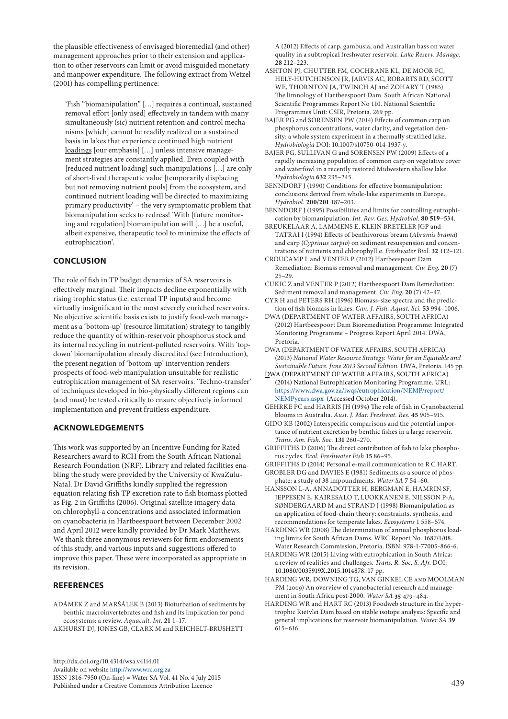the plausible effectiveness of envisaged bioremedial (and other) management approaches prior to their extension and application to other reservoirs can limit or avoid misguided monetary and manpower expenditure. The following extract from Wetzel (2001) has compelling pertinence:

'Fish "biomanipulation" […] requires a continual, sustained removal effort [only used] effectively in tandem with many simultaneously (sic) nutrient retention and control mechanisms [which] cannot be readily realized on a sustained basis in lakes that experience continued high nutrient loadings [our emphasis] […] unless intensive management strategies are constantly applied. Even coupled with [reduced nutrient loading] such manipulations […] are only of short-lived therapeutic value [temporarily displacing but not removing nutrient pools] from the ecosystem, and continued nutrient loading will be directed to maximizing primary productivity' – the very symptomatic problem that biomanipulation seeks to redress! 'With [future monitoring and regulation] biomanipulation will […] be a useful, albeit expensive, therapeutic tool to minimize the effects of eutrophication'.

# **CONCLUSION**

The role of fish in TP budget dynamics of SA reservoirs is effectively marginal. Their impacts decline exponentially with rising trophic status (i.e. external TP inputs) and become virtually insignificant in the most severely enriched reservoirs. No objective scientific basis exists to justify food-web management as a 'bottom-up' (resource limitation) strategy to tangibly reduce the quantity of within-reservoir phosphorus stock and its internal recycling in nutrient-polluted reservoirs. With 'topdown' biomanipulation already discredited (see Introduction), the present negation of 'bottom-up' intervention renders prospects of food-web manipulation unsuitable for realistic eutrophication management of SA reservoirs. 'Techno-transfer' of techniques developed in bio-physically different regions can (and must) be tested critically to ensure objectively informed implementation and prevent fruitless expenditure.

# **ACKNOWLEDGEMENTS**

This work was supported by an Incentive Funding for Rated Researchers award to RCH from the South African National Research Foundation (NRF). Library and related facilities enabling the study were provided by the University of KwaZulu-Natal. Dr David Griffiths kindly supplied the regression equation relating fish TP excretion rate to fish biomass plotted as Fig. 2 in Griffiths (2006). Original satellite imagery data on chlorophyll-a concentrations and associated information on cyanobacteria in Hartbeespoort between December 2002 and April 2012 were kindly provided by Dr Mark Matthews. We thank three anonymous reviewers for firm endorsements of this study, and various inputs and suggestions offered to improve this paper. These were incorporated as appropriate in its revision.

# **REFERENCES**

- ADÁMEK Z and MARŠÁLEK B (2013) Bioturbation of sediments by benthic macroinvertebrates and fish and its implication for pond ecosystems: a review. *Aquacult. Int*. **21** 1–17.
- AKHURST DJ, JONES GB, CLARK M and REICHELT-BRUSHETT

[http://dx.doi.org/10.4314/wsa.v41i4.0](http://dx.doi.org/10.4314/wsa.v41i4.01)1 Available on website<http://www.wrc.org.za> ISSN 1816-7950 (On-line) = Water SA Vol. 41 No. 4 July 2015 Published under a Creative Commons Attribution Licence

A (2012) Effects of carp, gambusia, and Australian bass on water quality in a subtropical freshwater reservoir. *Lake Reserv. Manage*. **28** 212–223.

- ASHTON PJ, CHUTTER FM, COCHRANE KL, DE MOOR FC, HELY-HUTCHINSON JR, JARVIS AC, ROBARTS RD, SCOTT WE, THORNTON JA, TWINCH AJ and ZOHARY T (1985) The limnology of Hartbeespoort Dam. South African National Scientific Programmes Report No 110. National Scientific Programmes Unit: CSIR, Pretoria. 269 pp.
- BAJER PG and SORENSEN PW (2014) Effects of common carp on phosphorus concentrations, water clarity, and vegetation density: a whole system experiment in a thermally stratified lake. *Hydrobiologia* DOI: 10.1007/s10750-014-1937-y.
- BAJER PG, SULLIVAN G and SORENSEN PW (2009) Effects of a rapidly increasing population of common carp on vegetative cover and waterfowl in a recently restored Midwestern shallow lake. *Hydrobiologia* **632** 235–245.
- BENNDORF J (1990) Conditions for effective biomanipulation: conclusions derived from whole-lake experiments in Europe. *Hydrobiol.* **200/201** 187−203.
- BENNDORF J (1995) Possibilities and limits for controlling eutrophication by biomanipulation. *Int. Rev. Ges. Hydrobiol*. **80 519**−534.
- BREUKELAAR A, LAMMENS E, KLEIN BRETELER JGP and TATRAI I (1994) Effects of benthivorous bream (*Abramis brama*) and carp (*Cyprinus carpio*) on sediment resuspension and concentrations of nutrients and chlorophyll *a*. *Freshwater Biol*. **32** 112–121.
- CROUCAMP L and VENTER P (2012) Hartbeespoort Dam Remediation: Biomass removal and management. *Civ. Eng.* **20** (7) 25–29.
- CUKIC Z and VENTER P (2012) Hartbeespoort Dam Remediation: Sediment removal and management. *Civ. Eng.* **20** (7) 42–47.
- CYR H and PETERS RH (1996) Biomass-size spectra and the prediction of fish biomass in lakes. *Can. J. Fish. Aquat. Sci.* **53** 994–1006.
- DWA (DEPARTMENT OF WATER AFFAIRS, SOUTH AFRICA) (2012) Hartbeespoort Dam Bioremediation Programme: Integrated Monitoring Programme – Progress Report April 2014. DWA, Pretoria.
- DWA (DEPARTMENT OF WATER AFFAIRS, SOUTH AFRICA) (2013) *National Water Resource Strategy. Water for an Equitable and Sustainable Future. June 2013 Second Edition.* DWA, Pretoria. 145 pp.
- DWA (DEPARTMENT OF WATER AFFAIRS, SOUTH AFRICA) (2014) National Eutrophication Monitoring Programme. URL: [https://www.dwa.gov.za/iwqs/eutrophication/NEMP/report/](https://www.dwa.gov.za/iwqs/eutrophication/NEMP/report/NEMPyears.aspx) [NEMPyears.aspx](https://www.dwa.gov.za/iwqs/eutrophication/NEMP/report/NEMPyears.aspx) (Accessed October 2014).
- GEHRKE PC and HARRIS JH (1994) The role of fish in Cyanobacterial blooms in Australia. *Aust. J. Mar. Freshwat. Res.* **45** 905–915.
- GIDO KB (2002) Interspecific comparisons and the potential importance of nutrient excretion by benthic fishes in a large reservoir. *Trans. Am. Fish. Soc.* **131** 260–270.
- GRIFFITHS D (2006) The direct contribution of fish to lake phosphorus cycles. *Ecol. Freshwater Fish* **15** 86–95.
- GRIFFITHS D (2014) Personal e-mail communication to R C HART. GROBLER DG and DAVIES E (1981) Sediments as a source of phosphate: a study of 38 impoundments. *Water SA* **7** 54–60.
- HANSSON L-A, ANNADOTTER H, BERGMAN E, HAMRIN SF, JEPPESEN E, KAIRESALO T, LUOKKANEN E, NILSSON P-A, SØNDERGAARD M and STRAND J (1998) Biomanipulation as an application of food-chain theory: constraints, synthesis, and recommendations for temperate lakes. *Ecosystems* 1 558–574.
- HARDING WR (2008) The determination of annual phosphorus loading limits for South African Dams. WRC Report No. 1687/1/08. Water Research Commission, Pretoria. ISBN: 978-1-77005-866-6.
- HARDING WR (2015) Living with eutrophication in South Africa: a review of realities and challenges. *Trans. R. Soc. S. Afr.* DOI: 10.1080/0035919X.2015.1014878. 17 pp.
- HARDING WR, DOWNING TG, VAN GINKEL CE and MOOLMAN PM (2009) An overview of cyanobacterial research and management in South Africa post-2000. *Water SA* **35** 479–484.
- HARDING WR and HART RC (2013) Foodweb structure in the hypertrophic Rietvlei Dam based on stable isotope analysis: Specific and general implications for reservoir biomanipulation. *Water SA* **39** 615–616.